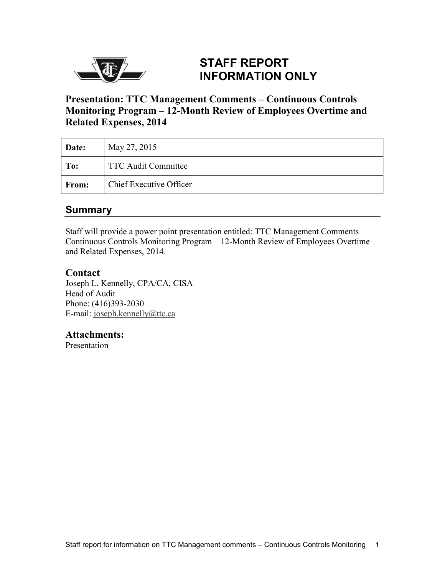

#### **STAFF REPORT INFORMATION ONLY**

**Presentation: TTC Management Comments – Continuous Controls Monitoring Program – 12-Month Review of Employees Overtime and Related Expenses, 2014** 

| Date:        | May 27, 2015                   |
|--------------|--------------------------------|
| To:          | <b>TTC Audit Committee</b>     |
| <b>From:</b> | <b>Chief Executive Officer</b> |

#### **Summary**

Staff will provide a power point presentation entitled: TTC Management Comments – Continuous Controls Monitoring Program – 12-Month Review of Employees Overtime and Related Expenses, 2014.

#### **Contact**

Joseph L. Kennelly, CPA/CA, CISA Head of Audit Phone: (416)393-2030 E-mail: [joseph.kennelly@ttc.ca](mailto:joseph.kennelly@ttc.ca)

#### **Attachments:**

Presentation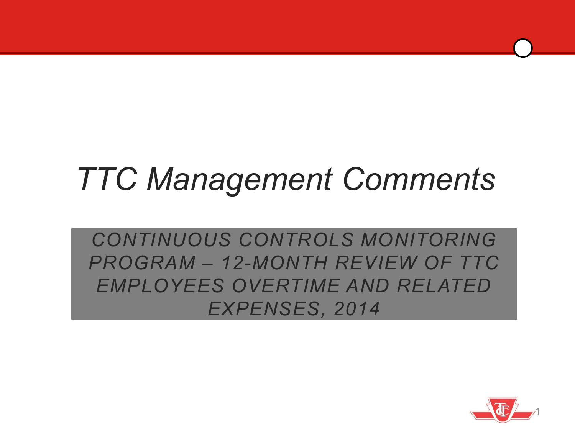# *TTC Management Comments*

*CONTINUOUS CONTROLS MONITORING PROGRAM – 12-MONTH REVIEW OF TTC EMPLOYEES OVERTIME AND RELATED EXPENSES, 2014*

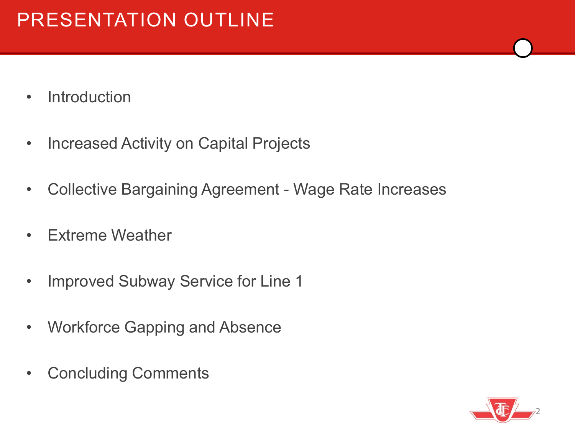- Introduction
- Increased Activity on Capital Projects
- Collective Bargaining Agreement Wage Rate Increases
- Extreme Weather
- Improved Subway Service for Line 1
- Workforce Gapping and Absence
- Concluding Comments

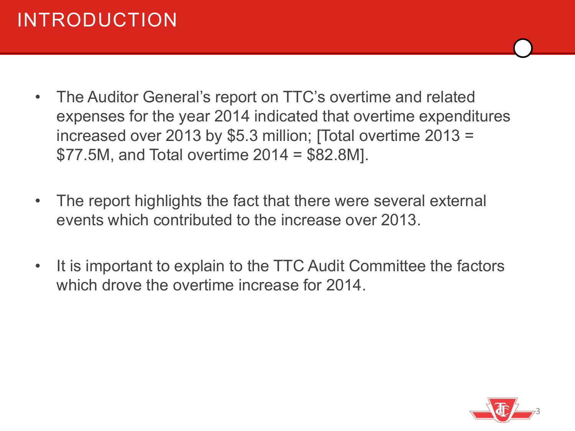### INTRODUCTION

- The Auditor General's report on TTC's overtime and related expenses for the year 2014 indicated that overtime expenditures increased over 2013 by \$5.3 million; [Total overtime 2013 =  $$77.5M$ , and Total overtime  $2014 = $82.8M$ ].
- The report highlights the fact that there were several external events which contributed to the increase over 2013.
- It is important to explain to the TTC Audit Committee the factors which drove the overtime increase for 2014.

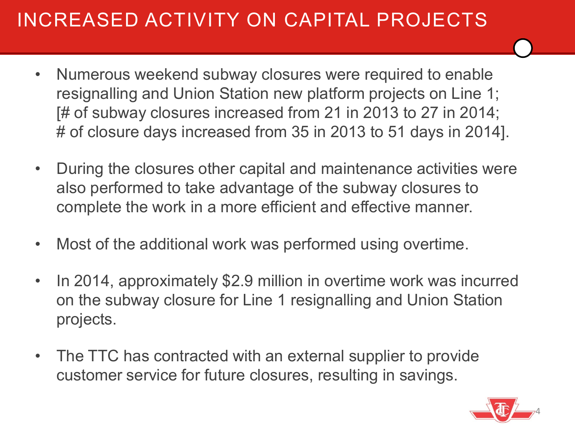### INCREASED ACTIVITY ON CAPITAL PROJECTS

- Numerous weekend subway closures were required to enable resignalling and Union Station new platform projects on Line 1; [# of subway closures increased from 21 in 2013 to 27 in 2014; # of closure days increased from 35 in 2013 to 51 days in 2014].
- During the closures other capital and maintenance activities were also performed to take advantage of the subway closures to complete the work in a more efficient and effective manner.
- Most of the additional work was performed using overtime.
- In 2014, approximately \$2.9 million in overtime work was incurred on the subway closure for Line 1 resignalling and Union Station projects.
- The TTC has contracted with an external supplier to provide customer service for future closures, resulting in savings.

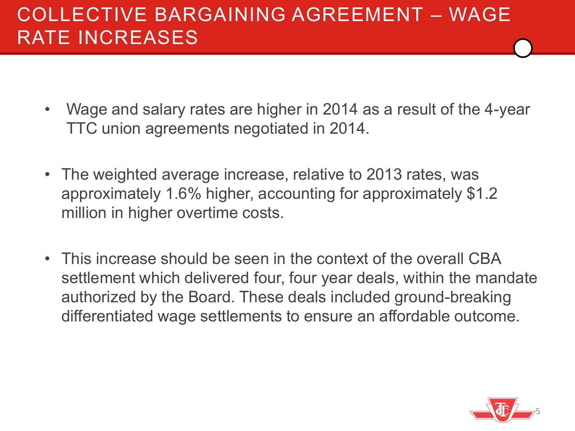#### COLLECTIVE BARGAINING AGREEMENT – WAGE RATE INCREASES

- Wage and salary rates are higher in 2014 as a result of the 4-year TTC union agreements negotiated in 2014.
- The weighted average increase, relative to 2013 rates, was approximately 1.6% higher, accounting for approximately \$1.2 million in higher overtime costs.
- This increase should be seen in the context of the overall CBA settlement which delivered four, four year deals, within the mandate authorized by the Board. These deals included ground-breaking differentiated wage settlements to ensure an affordable outcome.

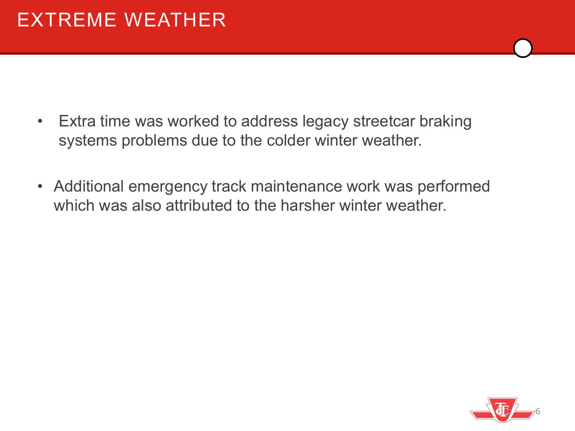- Extra time was worked to address legacy streetcar braking systems problems due to the colder winter weather.
- Additional emergency track maintenance work was performed which was also attributed to the harsher winter weather.

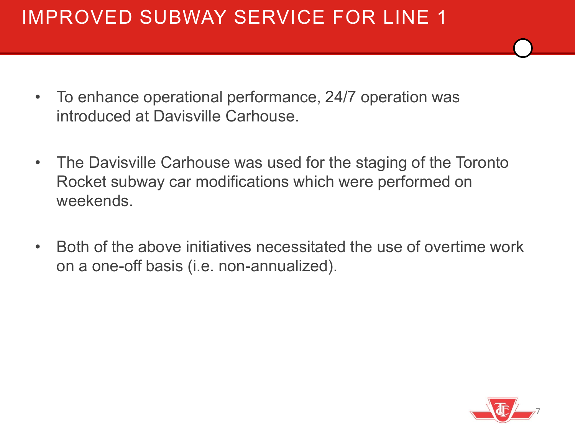### IMPROVED SUBWAY SERVICE FOR LINE 1

- To enhance operational performance, 24/7 operation was introduced at Davisville Carhouse.
- The Davisville Carhouse was used for the staging of the Toronto Rocket subway car modifications which were performed on weekends.
- Both of the above initiatives necessitated the use of overtime work on a one-off basis (i.e. non-annualized).

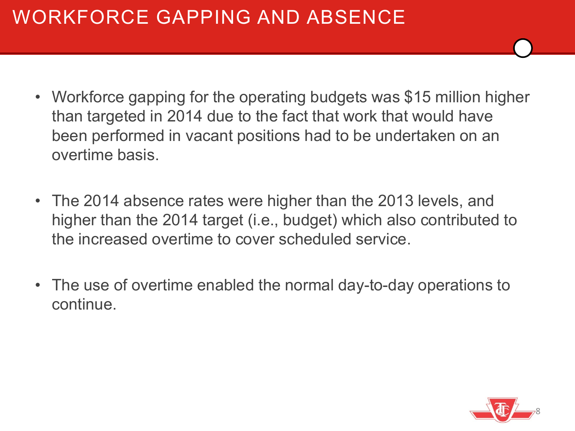### WORKFORCE GAPPING AND ABSENCE

- Workforce gapping for the operating budgets was \$15 million higher than targeted in 2014 due to the fact that work that would have been performed in vacant positions had to be undertaken on an overtime basis.
- The 2014 absence rates were higher than the 2013 levels, and higher than the 2014 target (i.e., budget) which also contributed to the increased overtime to cover scheduled service.
- The use of overtime enabled the normal day-to-day operations to continue.